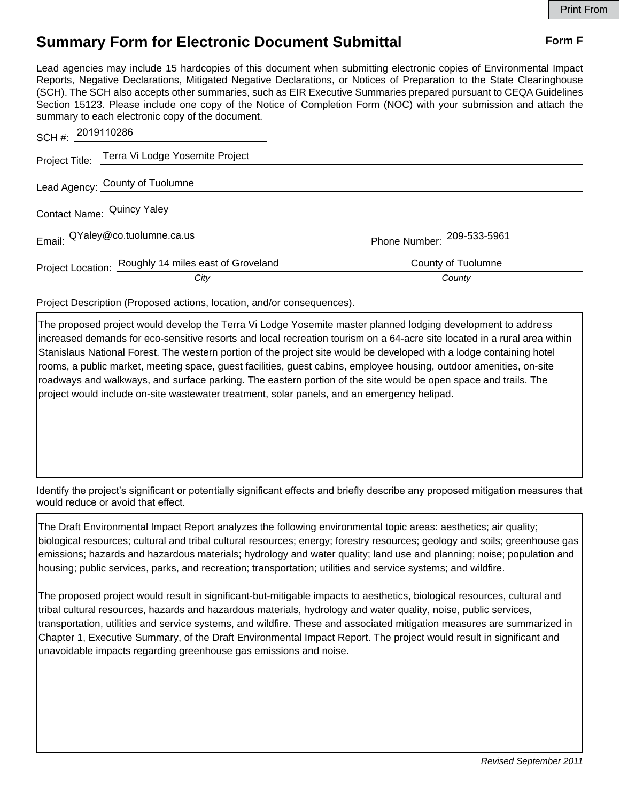## **Summary Form for Electronic Document Submittal Form F Form F**

Lead agencies may include 15 hardcopies of this document when submitting electronic copies of Environmental Impact Reports, Negative Declarations, Mitigated Negative Declarations, or Notices of Preparation to the State Clearinghouse (SCH). The SCH also accepts other summaries, such as EIR Executive Summaries prepared pursuant to CEQA Guidelines Section 15123. Please include one copy of the Notice of Completion Form (NOC) with your submission and attach the summary to each electronic copy of the document.

| SCH#: 2019110286           |                                                      |                            |
|----------------------------|------------------------------------------------------|----------------------------|
|                            | Project Title: Terra Vi Lodge Yosemite Project       |                            |
|                            | Lead Agency: County of Tuolumne                      |                            |
| Contact Name: Quincy Yaley |                                                      |                            |
|                            | Email: QYaley@co.tuolumne.ca.us                      | Phone Number: 209-533-5961 |
|                            | Project Location: Roughly 14 miles east of Groveland | County of Tuolumne         |
|                            | City                                                 | County                     |

Project Description (Proposed actions, location, and/or consequences).

The proposed project would develop the Terra Vi Lodge Yosemite master planned lodging development to address increased demands for eco-sensitive resorts and local recreation tourism on a 64-acre site located in a rural area within Stanislaus National Forest. The western portion of the project site would be developed with a lodge containing hotel rooms, a public market, meeting space, guest facilities, guest cabins, employee housing, outdoor amenities, on-site roadways and walkways, and surface parking. The eastern portion of the site would be open space and trails. The project would include on-site wastewater treatment, solar panels, and an emergency helipad.

Identify the project's significant or potentially significant effects and briefly describe any proposed mitigation measures that would reduce or avoid that effect.

The Draft Environmental Impact Report analyzes the following environmental topic areas: aesthetics; air quality; biological resources; cultural and tribal cultural resources; energy; forestry resources; geology and soils; greenhouse gas emissions; hazards and hazardous materials; hydrology and water quality; land use and planning; noise; population and housing; public services, parks, and recreation; transportation; utilities and service systems; and wildfire.

The proposed project would result in significant-but-mitigable impacts to aesthetics, biological resources, cultural and tribal cultural resources, hazards and hazardous materials, hydrology and water quality, noise, public services, transportation, utilities and service systems, and wildfire. These and associated mitigation measures are summarized in Chapter 1, Executive Summary, of the Draft Environmental Impact Report. The project would result in significant and unavoidable impacts regarding greenhouse gas emissions and noise.